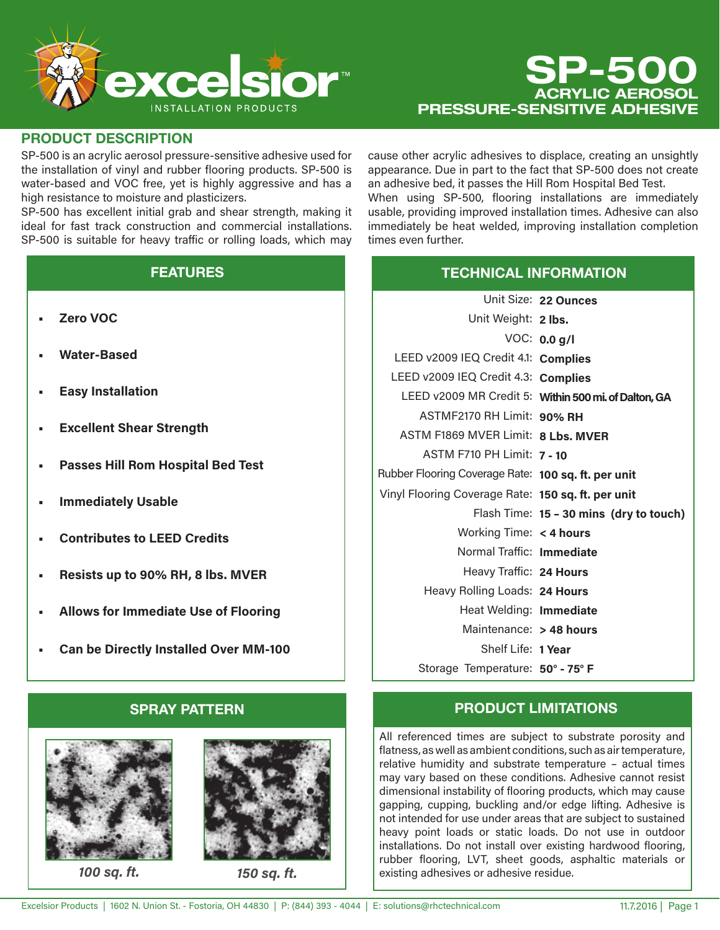

# PE500 ACRYLIC AEROSOL PRESSURE-SENSITIVE ADHESIVE

## **PRODUCT DESCRIPTION**

SP-500 is an acrylic aerosol pressure-sensitive adhesive used for the installation of vinyl and rubber flooring products. SP-500 is water-based and VOC free, yet is highly aggressive and has a high resistance to moisture and plasticizers.

SP-500 has excellent initial grab and shear strength, making it ideal for fast track construction and commercial installations. SP-500 is suitable for heavy traffic or rolling loads, which may

# **FEATURES**

- **• Zero VOC**
- **• Water-Based**
- **• Easy Installation**
- **• Excellent Shear Strength**
- **• Passes Hill Rom Hospital Bed Test**
- **• Immediately Usable**
- **• Contributes to LEED Credits**
- **• Resists up to 90% RH, 8 lbs. MVER**
- **• Allows for Immediate Use of Flooring**
- **• Can be Directly Installed Over MM-100**

## **SPRAY PATTERN**



*100 sq. ft. 150 sq. ft.*



cause other acrylic adhesives to displace, creating an unsightly appearance. Due in part to the fact that SP-500 does not create an adhesive bed, it passes the Hill Rom Hospital Bed Test. When using SP-500, flooring installations are immediately usable, providing improved installation times. Adhesive can also immediately be heat welded, improving installation completion times even further.

# **TECHNICAL INFORMATION**

| Unit Size: 22 Ounces                                 |                                                     |
|------------------------------------------------------|-----------------------------------------------------|
|                                                      | Unit Weight: 2 lbs.                                 |
| VOC: 0.0 g/l                                         |                                                     |
|                                                      | LEED v2009 IEQ Credit 4.1: Complies                 |
|                                                      | LEED v2009 IEQ Credit 4.3: Complies                 |
| LEED v2009 MR Credit 5: Within 500 mi. of Dalton, GA |                                                     |
|                                                      | ASTMF2170 RH Limit: 90% RH                          |
|                                                      | ASTM F1869 MVER Limit: 8 Lbs. MVER                  |
|                                                      | <b>ASTM F710 PH Limit: 7 - 10</b>                   |
|                                                      | Rubber Flooring Coverage Rate: 100 sq. ft. per unit |
|                                                      | Vinyl Flooring Coverage Rate: 150 sq. ft. per unit  |
| Flash Time: 15 - 30 mins (dry to touch)              |                                                     |
|                                                      | Working Time: $<$ 4 hours                           |
|                                                      | Normal Traffic: Immediate                           |
|                                                      | Heavy Traffic: 24 Hours                             |
|                                                      | Heavy Rolling Loads: 24 Hours                       |
|                                                      | Heat Welding: Immediate                             |
|                                                      | Maintenance: > 48 hours                             |
|                                                      | Shelf Life: 1 Year                                  |
|                                                      | Storage Temperature: 50° - 75° F                    |

## **PRODUCT LIMITATIONS**

All referenced times are subject to substrate porosity and flatness, as well as ambient conditions, such as air temperature, relative humidity and substrate temperature – actual times may vary based on these conditions. Adhesive cannot resist dimensional instability of flooring products, which may cause gapping, cupping, buckling and/or edge lifting. Adhesive is not intended for use under areas that are subject to sustained heavy point loads or static loads. Do not use in outdoor installations. Do not install over existing hardwood flooring, rubber flooring, LVT, sheet goods, asphaltic materials or existing adhesives or adhesive residue.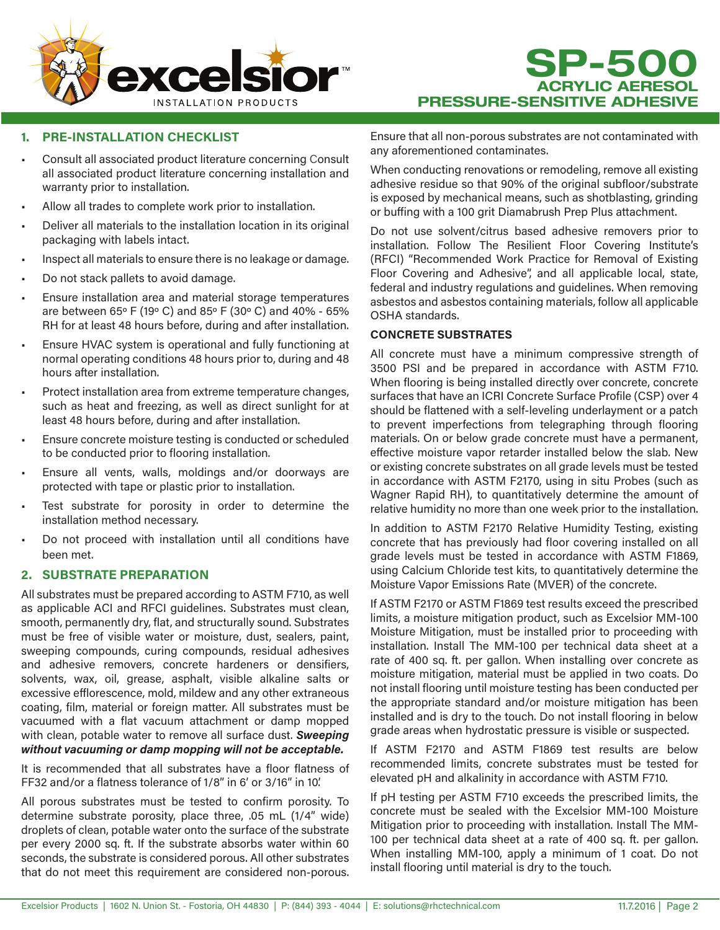

# P-500 ACRYLIC AERESOL PRESSURE-SENSITIVE ADHESIV

### **1. PRE-INSTALLATION CHECKLIST**

- Consult all associated product literature concerning Consult all associated product literature concerning installation and warranty prior to installation.
- Allow all trades to complete work prior to installation.
- Deliver all materials to the installation location in its original packaging with labels intact.
- Inspect all materials to ensure there is no leakage or damage.
- Do not stack pallets to avoid damage.
- Ensure installation area and material storage temperatures are between 65º F (19º C) and 85º F (30º C) and 40% - 65% RH for at least 48 hours before, during and after installation.
- Ensure HVAC system is operational and fully functioning at normal operating conditions 48 hours prior to, during and 48 hours after installation.
- Protect installation area from extreme temperature changes, such as heat and freezing, as well as direct sunlight for at least 48 hours before, during and after installation.
- Ensure concrete moisture testing is conducted or scheduled to be conducted prior to flooring installation.
- Ensure all vents, walls, moldings and/or doorways are protected with tape or plastic prior to installation.
- Test substrate for porosity in order to determine the installation method necessary.
- Do not proceed with installation until all conditions have been met.

#### **2. SUBSTRATE PREPARATION**

All substrates must be prepared according to ASTM F710, as well as applicable ACI and RFCI guidelines. Substrates must clean, smooth, permanently dry, flat, and structurally sound. Substrates must be free of visible water or moisture, dust, sealers, paint, sweeping compounds, curing compounds, residual adhesives and adhesive removers, concrete hardeners or densifiers, solvents, wax, oil, grease, asphalt, visible alkaline salts or excessive efflorescence, mold, mildew and any other extraneous coating, film, material or foreign matter. All substrates must be vacuumed with a flat vacuum attachment or damp mopped with clean, potable water to remove all surface dust. *Sweeping without vacuuming or damp mopping will not be acceptable.* 

It is recommended that all substrates have a floor flatness of FF32 and/or a flatness tolerance of 1/8" in 6' or 3/16" in 10'.

All porous substrates must be tested to confirm porosity. To determine substrate porosity, place three, .05 mL (1/4" wide) droplets of clean, potable water onto the surface of the substrate per every 2000 sq. ft. If the substrate absorbs water within 60 seconds, the substrate is considered porous. All other substrates that do not meet this requirement are considered non-porous.

Ensure that all non-porous substrates are not contaminated with any aforementioned contaminates.

When conducting renovations or remodeling, remove all existing adhesive residue so that 90% of the original subfloor/substrate is exposed by mechanical means, such as shotblasting, grinding or buffing with a 100 grit Diamabrush Prep Plus attachment.

Do not use solvent/citrus based adhesive removers prior to installation. Follow The Resilient Floor Covering Institute's (RFCI) "Recommended Work Practice for Removal of Existing Floor Covering and Adhesive", and all applicable local, state, federal and industry regulations and guidelines. When removing asbestos and asbestos containing materials, follow all applicable OSHA standards.

#### **CONCRETE SUBSTRATES**

All concrete must have a minimum compressive strength of 3500 PSI and be prepared in accordance with ASTM F710. When flooring is being installed directly over concrete, concrete surfaces that have an ICRI Concrete Surface Profile (CSP) over 4 should be flattened with a self-leveling underlayment or a patch to prevent imperfections from telegraphing through flooring materials. On or below grade concrete must have a permanent, effective moisture vapor retarder installed below the slab. New or existing concrete substrates on all grade levels must be tested in accordance with ASTM F2170, using in situ Probes (such as Wagner Rapid RH), to quantitatively determine the amount of relative humidity no more than one week prior to the installation.

In addition to ASTM F2170 Relative Humidity Testing, existing concrete that has previously had floor covering installed on all grade levels must be tested in accordance with ASTM F1869, using Calcium Chloride test kits, to quantitatively determine the Moisture Vapor Emissions Rate (MVER) of the concrete.

If ASTM F2170 or ASTM F1869 test results exceed the prescribed limits, a moisture mitigation product, such as Excelsior MM-100 Moisture Mitigation, must be installed prior to proceeding with installation. Install The MM-100 per technical data sheet at a rate of 400 sq. ft. per gallon. When installing over concrete as moisture mitigation, material must be applied in two coats. Do not install flooring until moisture testing has been conducted per the appropriate standard and/or moisture mitigation has been installed and is dry to the touch. Do not install flooring in below grade areas when hydrostatic pressure is visible or suspected.

If ASTM F2170 and ASTM F1869 test results are below recommended limits, concrete substrates must be tested for elevated pH and alkalinity in accordance with ASTM F710.

If pH testing per ASTM F710 exceeds the prescribed limits, the concrete must be sealed with the Excelsior MM-100 Moisture Mitigation prior to proceeding with installation. Install The MM-100 per technical data sheet at a rate of 400 sq. ft. per gallon. When installing MM-100, apply a minimum of 1 coat. Do not install flooring until material is dry to the touch.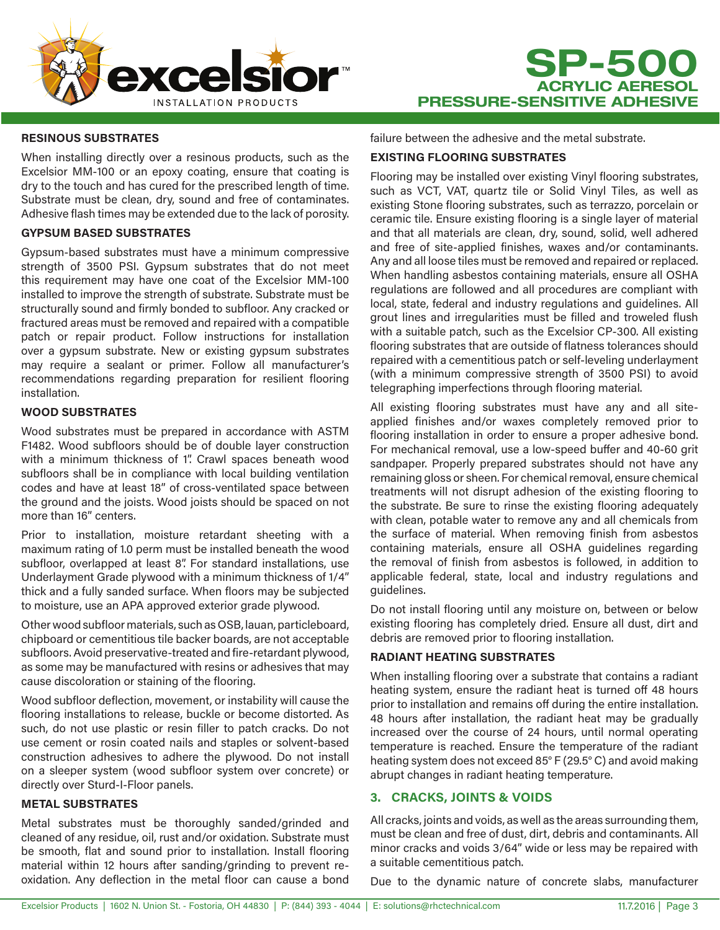

# P-500 ACRYLIC AERESOL PRESSURE-SENSITIVE ADHESIVE

#### **RESINOUS SUBSTRATES**

When installing directly over a resinous products, such as the Excelsior MM-100 or an epoxy coating, ensure that coating is dry to the touch and has cured for the prescribed length of time. Substrate must be clean, dry, sound and free of contaminates. Adhesive flash times may be extended due to the lack of porosity.

#### **GYPSUM BASED SUBSTRATES**

Gypsum-based substrates must have a minimum compressive strength of 3500 PSI. Gypsum substrates that do not meet this requirement may have one coat of the Excelsior MM-100 installed to improve the strength of substrate. Substrate must be structurally sound and firmly bonded to subfloor. Any cracked or fractured areas must be removed and repaired with a compatible patch or repair product. Follow instructions for installation over a gypsum substrate. New or existing gypsum substrates may require a sealant or primer. Follow all manufacturer's recommendations regarding preparation for resilient flooring installation.

#### **WOOD SUBSTRATES**

Wood substrates must be prepared in accordance with ASTM F1482. Wood subfloors should be of double layer construction with a minimum thickness of 1". Crawl spaces beneath wood subfloors shall be in compliance with local building ventilation codes and have at least 18" of cross-ventilated space between the ground and the joists. Wood joists should be spaced on not more than 16" centers.

Prior to installation, moisture retardant sheeting with a maximum rating of 1.0 perm must be installed beneath the wood subfloor, overlapped at least 8". For standard installations, use Underlayment Grade plywood with a minimum thickness of 1/4" thick and a fully sanded surface. When floors may be subjected to moisture, use an APA approved exterior grade plywood.

Other wood subfloor materials, such as OSB, lauan, particleboard, chipboard or cementitious tile backer boards, are not acceptable subfloors. Avoid preservative-treated and fire-retardant plywood, as some may be manufactured with resins or adhesives that may cause discoloration or staining of the flooring.

Wood subfloor deflection, movement, or instability will cause the flooring installations to release, buckle or become distorted. As such, do not use plastic or resin filler to patch cracks. Do not use cement or rosin coated nails and staples or solvent-based construction adhesives to adhere the plywood. Do not install on a sleeper system (wood subfloor system over concrete) or directly over Sturd-I-Floor panels.

#### **METAL SUBSTRATES**

Metal substrates must be thoroughly sanded/grinded and cleaned of any residue, oil, rust and/or oxidation. Substrate must be smooth, flat and sound prior to installation. Install flooring material within 12 hours after sanding/grinding to prevent reoxidation. Any deflection in the metal floor can cause a bond

failure between the adhesive and the metal substrate.

## **EXISTING FLOORING SUBSTRATES**

Flooring may be installed over existing Vinyl flooring substrates, such as VCT, VAT, quartz tile or Solid Vinyl Tiles, as well as existing Stone flooring substrates, such as terrazzo, porcelain or ceramic tile. Ensure existing flooring is a single layer of material and that all materials are clean, dry, sound, solid, well adhered and free of site-applied finishes, waxes and/or contaminants. Any and all loose tiles must be removed and repaired or replaced. When handling asbestos containing materials, ensure all OSHA regulations are followed and all procedures are compliant with local, state, federal and industry regulations and guidelines. All grout lines and irregularities must be filled and troweled flush with a suitable patch, such as the Excelsior CP-300. All existing flooring substrates that are outside of flatness tolerances should repaired with a cementitious patch or self-leveling underlayment (with a minimum compressive strength of 3500 PSI) to avoid telegraphing imperfections through flooring material.

All existing flooring substrates must have any and all siteapplied finishes and/or waxes completely removed prior to flooring installation in order to ensure a proper adhesive bond. For mechanical removal, use a low-speed buffer and 40-60 grit sandpaper. Properly prepared substrates should not have any remaining gloss or sheen. For chemical removal, ensure chemical treatments will not disrupt adhesion of the existing flooring to the substrate. Be sure to rinse the existing flooring adequately with clean, potable water to remove any and all chemicals from the surface of material. When removing finish from asbestos containing materials, ensure all OSHA guidelines regarding the removal of finish from asbestos is followed, in addition to applicable federal, state, local and industry regulations and guidelines.

Do not install flooring until any moisture on, between or below existing flooring has completely dried. Ensure all dust, dirt and debris are removed prior to flooring installation.

#### **RADIANT HEATING SUBSTRATES**

When installing flooring over a substrate that contains a radiant heating system, ensure the radiant heat is turned off 48 hours prior to installation and remains off during the entire installation. 48 hours after installation, the radiant heat may be gradually increased over the course of 24 hours, until normal operating temperature is reached. Ensure the temperature of the radiant heating system does not exceed 85° F (29.5° C) and avoid making abrupt changes in radiant heating temperature.

### **3. CRACKS, JOINTS & VOIDS**

All cracks, joints and voids, as well as the areas surrounding them, must be clean and free of dust, dirt, debris and contaminants. All minor cracks and voids 3/64" wide or less may be repaired with a suitable cementitious patch.

Due to the dynamic nature of concrete slabs, manufacturer